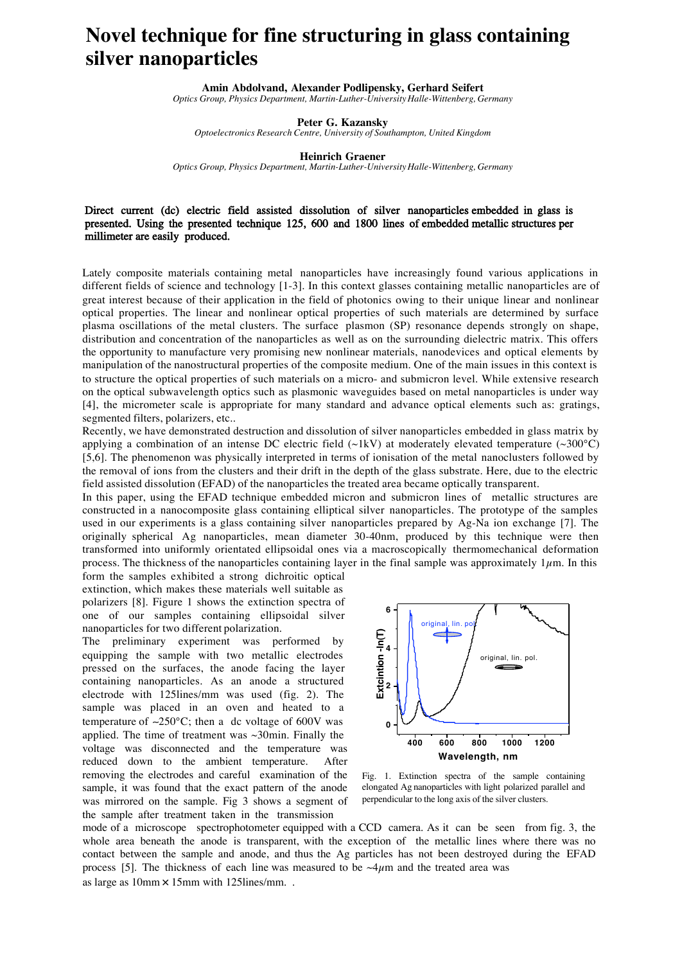## **Novel technique for fine structuring in glass containing silver nanoparticles**

**Amin Abdolvand, Alexander Podlipensky, Gerhard Seifert** *Optics Group, Physics Department, Martin-Luther-University Halle-Wittenberg, Germany*

**Peter G. Kazansky**

*Optoelectronics Research Centre, University of Southampton, United Kingdom*

**Heinrich Graener**

*Optics Group, Physics Department, Martin-Luther-University Halle-Wittenberg, Germany*

## Direct current (dc) electric field assisted dissolution of silver nanoparticles embedded in glass is presented. Using the presented technique 125, 600 and 1800 lines of embedded metallic structures per millimeter are easily produced.

Lately composite materials containing metal nanoparticles have increasingly found various applications in different fields of science and technology [1-3]. In this context glasses containing metallic nanoparticles are of great interest because of their application in the field of photonics owing to their unique linear and nonlinear optical properties. The linear and nonlinear optical properties of such materials are determined by surface plasma oscillations of the metal clusters. The surface plasmon (SP) resonance depends strongly on shape, distribution and concentration of the nanoparticles as well as on the surrounding dielectric matrix. This offers the opportunity to manufacture very promising new nonlinear materials, nanodevices and optical elements by manipulation of the nanostructural properties of the composite medium. One of the main issues in this context is to structure the optical properties of such materials on a micro- and submicron level. While extensive research on the optical subwavelength optics such as plasmonic waveguides based on metal nanoparticles is under way [4], the micrometer scale is appropriate for many standard and advance optical elements such as: gratings, segmented filters, polarizers, etc..

Recently, we have demonstrated destruction and dissolution of silver nanoparticles embedded in glass matrix by applying a combination of an intense DC electric field (~1kV) at moderately elevated temperature (~300°C) [5,6]. The phenomenon was physically interpreted in terms of ionisation of the metal nanoclusters followed by the removal of ions from the clusters and their drift in the depth of the glass substrate. Here, due to the electric field assisted dissolution (EFAD) of the nanoparticles the treated area became optically transparent.

In this paper, using the EFAD technique embedded micron and submicron lines of metallic structures are constructed in a nanocomposite glass containing elliptical silver nanoparticles. The prototype of the samples used in our experiments is a glass containing silver nanoparticles prepared by Ag-Na ion exchange [7]. The originally spherical Ag nanoparticles, mean diameter 30-40nm, produced by this technique were then transformed into uniformly orientated ellipsoidal ones via a macroscopically thermomechanical deformation process. The thickness of the nanoparticles containing layer in the final sample was approximately  $1\mu$ m. In this

form the samples exhibited a strong dichroitic optical extinction, which makes these materials well suitable as polarizers [8]. Figure 1 shows the extinction spectra of one of our samples containing ellipsoidal silver nanoparticles for two different polarization.

The preliminary experiment was performed by equipping the sample with two metallic electrodes pressed on the surfaces, the anode facing the layer containing nanoparticles. As an anode a structured electrode with 125lines/mm was used (fig. 2). The sample was placed in an oven and heated to a temperature of ∼250°C; then a dc voltage of 600V was applied. The time of treatment was  $\sim$ 30min. Finally the voltage was disconnected and the temperature was reduced down to the ambient temperature. After removing the electrodes and careful examination of the sample, it was found that the exact pattern of the anode was mirrored on the sample. Fig 3 shows a segment of the sample after treatment taken in the transmission



Fig. 1. Extinction spectra of the sample containing elongated Ag nanoparticles with light polarized parallel and perpendicular to the long axis of the silver clusters.

mode of a microscope spectrophotometer equipped with a CCD camera. As it can be seen from fig. 3, the whole area beneath the anode is transparent, with the exception of the metallic lines where there was no contact between the sample and anode, and thus the Ag particles has not been destroyed during the EFAD process [5]. The thickness of each line was measured to be  $\sim$ 4 $\mu$ m and the treated area was as large as 10mm × 15mm with 125lines/mm. .